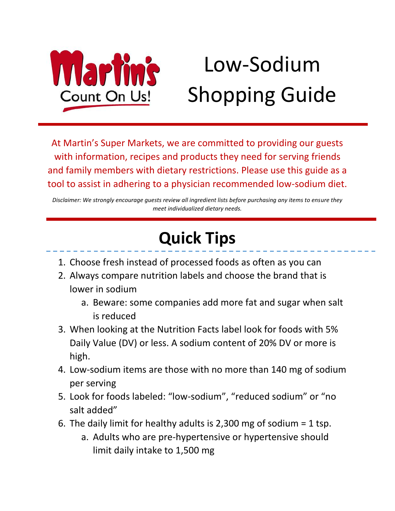

# Low-Sodium Shopping Guide

At Martin's Super Markets, we are committed to providing our guests with information, recipes and products they need for serving friends and family members with dietary restrictions. Please use this guide as a tool to assist in adhering to a physician recommended low-sodium diet.

*Disclaimer: We strongly encourage guests review all ingredient lists before purchasing any items to ensure they meet individualized dietary needs.* 

# **Quick Tips**

- 1. Choose fresh instead of processed foods as often as you can
- 2. Always compare nutrition labels and choose the brand that is lower in sodium
	- a. Beware: some companies add more fat and sugar when salt is reduced
- 3. When looking at the Nutrition Facts label look for foods with 5% Daily Value (DV) or less. A sodium content of 20% DV or more is high.
- 4. Low-sodium items are those with no more than 140 mg of sodium per serving
- 5. Look for foods labeled: "low-sodium", "reduced sodium" or "no salt added"
- 6. The daily limit for healthy adults is 2,300 mg of sodium = 1 tsp.
	- a. Adults who are pre-hypertensive or hypertensive should limit daily intake to 1,500 mg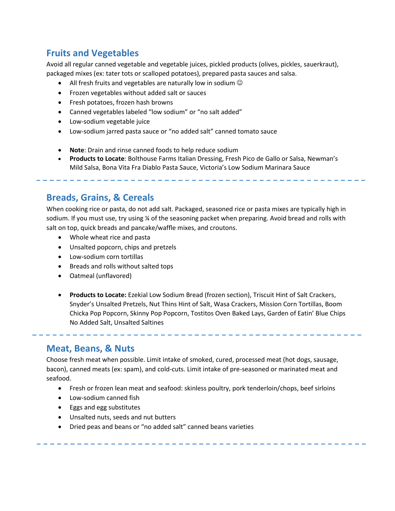# **Fruits and Vegetables**

Avoid all regular canned vegetable and vegetable juices, pickled products (olives, pickles, sauerkraut), packaged mixes (ex: tater tots or scalloped potatoes), prepared pasta sauces and salsa.

- All fresh fruits and vegetables are naturally low in sodium  $\odot$
- Frozen vegetables without added salt or sauces
- Fresh potatoes, frozen hash browns
- Canned vegetables labeled "low sodium" or "no salt added"
- Low-sodium vegetable juice
- Low-sodium jarred pasta sauce or "no added salt" canned tomato sauce
- **Note**: Drain and rinse canned foods to help reduce sodium
- **Products to Locate**: Bolthouse Farms Italian Dressing, Fresh Pico de Gallo or Salsa, Newman's Mild Salsa, Bona Vita Fra Diablo Pasta Sauce, Victoria's Low Sodium Marinara Sauce

## **Breads, Grains, & Cereals**

When cooking rice or pasta, do not add salt. Packaged, seasoned rice or pasta mixes are typically high in sodium. If you must use, try using % of the seasoning packet when preparing. Avoid bread and rolls with salt on top, quick breads and pancake/waffle mixes, and croutons.

- Whole wheat rice and pasta
- Unsalted popcorn, chips and pretzels
- Low-sodium corn tortillas
- Breads and rolls without salted tops
- Oatmeal (unflavored)
- **Products to Locate:** Ezekial Low Sodium Bread (frozen section), Triscuit Hint of Salt Crackers, Snyder's Unsalted Pretzels, Nut Thins Hint of Salt, Wasa Crackers, Mission Corn Tortillas, Boom Chicka Pop Popcorn, Skinny Pop Popcorn, Tostitos Oven Baked Lays, Garden of Eatin' Blue Chips No Added Salt, Unsalted Saltines

#### **Meat, Beans, & Nuts**

Choose fresh meat when possible. Limit intake of smoked, cured, processed meat (hot dogs, sausage, bacon), canned meats (ex: spam), and cold-cuts. Limit intake of pre-seasoned or marinated meat and seafood.

- Fresh or frozen lean meat and seafood: skinless poultry, pork tenderloin/chops, beef sirloins
- Low-sodium canned fish
- **•** Eggs and egg substitutes
- Unsalted nuts, seeds and nut butters
- Dried peas and beans or "no added salt" canned beans varieties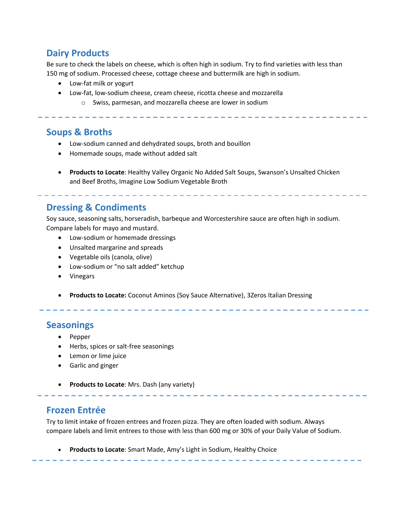# **Dairy Products**

Be sure to check the labels on cheese, which is often high in sodium. Try to find varieties with less than 150 mg of sodium. Processed cheese, cottage cheese and buttermilk are high in sodium.

- Low-fat milk or yogurt
- Low-fat, low-sodium cheese, cream cheese, ricotta cheese and mozzarella
	- o Swiss, parmesan, and mozzarella cheese are lower in sodium

## **Soups & Broths**

- Low-sodium canned and dehydrated soups, broth and bouillon
- Homemade soups, made without added salt
- **Products to Locate**: Healthy Valley Organic No Added Salt Soups, Swanson's Unsalted Chicken and Beef Broths, Imagine Low Sodium Vegetable Broth

## **Dressing & Condiments**

Soy sauce, seasoning salts, horseradish, barbeque and Worcestershire sauce are often high in sodium. Compare labels for mayo and mustard.

- Low-sodium or homemade dressings
- Unsalted margarine and spreads
- Vegetable oils (canola, olive)
- Low-sodium or "no salt added" ketchup
- Vinegars
- **Products to Locate:** Coconut Aminos (Soy Sauce Alternative), 3Zeros Italian Dressing

#### **Seasonings**

- Pepper
- Herbs, spices or salt-free seasonings
- Lemon or lime juice
- **•** Garlic and ginger
- **Products to Locate**: Mrs. Dash (any variety)

#### **Frozen Entrée**

Try to limit intake of frozen entrees and frozen pizza. They are often loaded with sodium. Always compare labels and limit entrees to those with less than 600 mg or 30% of your Daily Value of Sodium.

**Products to Locate**: Smart Made, Amy's Light in Sodium, Healthy Choice